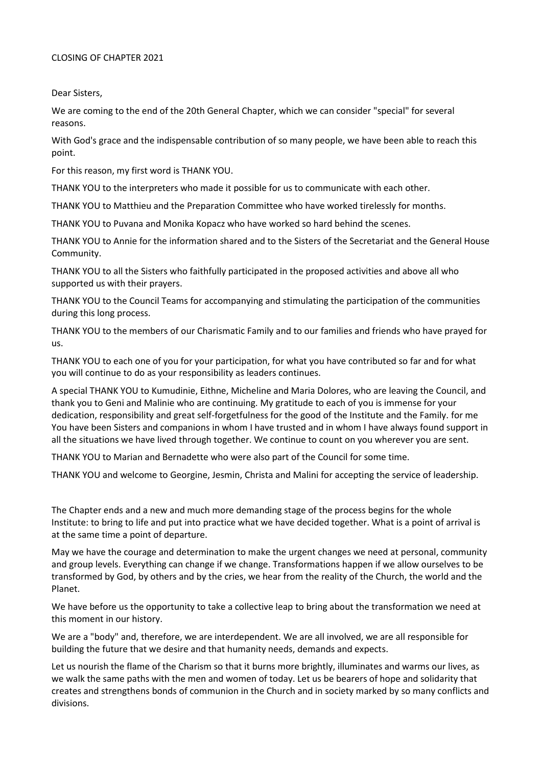## CLOSING OF CHAPTER 2021

Dear Sisters,

We are coming to the end of the 20th General Chapter, which we can consider "special" for several reasons.

With God's grace and the indispensable contribution of so many people, we have been able to reach this point.

For this reason, my first word is THANK YOU.

THANK YOU to the interpreters who made it possible for us to communicate with each other.

THANK YOU to Matthieu and the Preparation Committee who have worked tirelessly for months.

THANK YOU to Puvana and Monika Kopacz who have worked so hard behind the scenes.

THANK YOU to Annie for the information shared and to the Sisters of the Secretariat and the General House Community.

THANK YOU to all the Sisters who faithfully participated in the proposed activities and above all who supported us with their prayers.

THANK YOU to the Council Teams for accompanying and stimulating the participation of the communities during this long process.

THANK YOU to the members of our Charismatic Family and to our families and friends who have prayed for us.

THANK YOU to each one of you for your participation, for what you have contributed so far and for what you will continue to do as your responsibility as leaders continues.

A special THANK YOU to Kumudinie, Eithne, Micheline and Maria Dolores, who are leaving the Council, and thank you to Geni and Malinie who are continuing. My gratitude to each of you is immense for your dedication, responsibility and great self-forgetfulness for the good of the Institute and the Family. for me You have been Sisters and companions in whom I have trusted and in whom I have always found support in all the situations we have lived through together. We continue to count on you wherever you are sent.

THANK YOU to Marian and Bernadette who were also part of the Council for some time.

THANK YOU and welcome to Georgine, Jesmin, Christa and Malini for accepting the service of leadership.

The Chapter ends and a new and much more demanding stage of the process begins for the whole Institute: to bring to life and put into practice what we have decided together. What is a point of arrival is at the same time a point of departure.

May we have the courage and determination to make the urgent changes we need at personal, community and group levels. Everything can change if we change. Transformations happen if we allow ourselves to be transformed by God, by others and by the cries, we hear from the reality of the Church, the world and the Planet.

We have before us the opportunity to take a collective leap to bring about the transformation we need at this moment in our history.

We are a "body" and, therefore, we are interdependent. We are all involved, we are all responsible for building the future that we desire and that humanity needs, demands and expects.

Let us nourish the flame of the Charism so that it burns more brightly, illuminates and warms our lives, as we walk the same paths with the men and women of today. Let us be bearers of hope and solidarity that creates and strengthens bonds of communion in the Church and in society marked by so many conflicts and divisions.